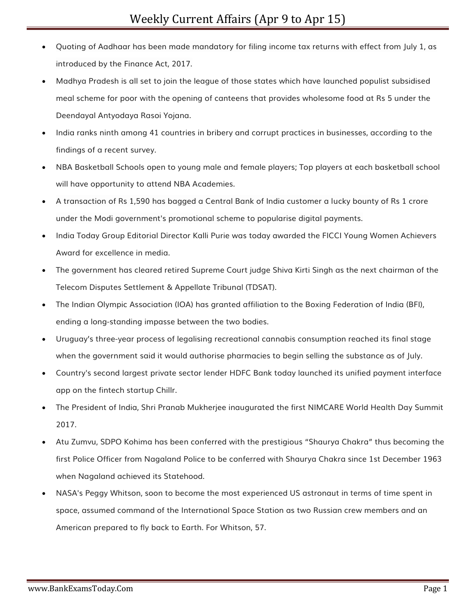- Quoting of Aadhaar has been made mandatory for filing income tax returns with effect from July 1, as introduced by the Finance Act, 2017.
- Madhya Pradesh is all set to join the league of those states which have launched populist subsidised meal scheme for poor with the opening of canteens that provides wholesome food at Rs 5 under the Deendayal Antyodaya Rasoi Yojana.
- India ranks ninth among 41 countries in bribery and corrupt practices in businesses, according to the findings of a recent survey.
- NBA Basketball Schools open to young male and female players; Top players at each basketball school will have opportunity to attend NBA Academies.
- A transaction of Rs 1,590 has bagged a Central Bank of India customer a lucky bounty of Rs 1 crore under the Modi government's promotional scheme to popularise digital payments.
- India Today Group Editorial Director Kalli Purie was today awarded the FICCI Young Women Achievers Award for excellence in media.
- The government has cleared retired Supreme Court judge Shiva Kirti Singh as the next chairman of the Telecom Disputes Settlement & Appellate Tribunal (TDSAT).
- The Indian Olympic Association (IOA) has granted affiliation to the Boxing Federation of India (BFI), ending a long-standing impasse between the two bodies.
- Uruguay's three-year process of legalising recreational cannabis consumption reached its final stage when the government said it would authorise pharmacies to begin selling the substance as of July.
- Country's second largest private sector lender HDFC Bank today launched its unified payment interface app on the fintech startup Chillr.
- The President of India, Shri Pranab Mukherjee inaugurated the first NIMCARE World Health Day Summit 2017.
- Atu Zumvu, SDPO Kohima has been conferred with the prestigious "Shaurya Chakra" thus becoming the first Police Officer from Nagaland Police to be conferred with Shaurya Chakra since 1st December 1963 when Nagaland achieved its Statehood.
- NASA's Peggy Whitson, soon to become the most experienced US astronaut in terms of time spent in space, assumed command of the International Space Station as two Russian crew members and an American prepared to fly back to Earth. For Whitson, 57.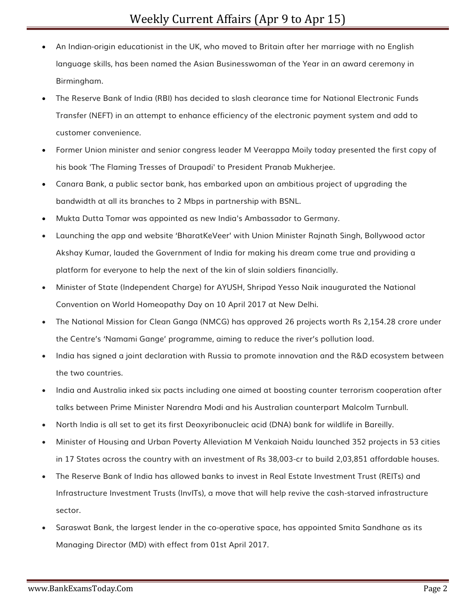- An Indian-origin educationist in the UK, who moved to Britain after her marriage with no English language skills, has been named the Asian Businesswoman of the Year in an award ceremony in Birmingham.
- The Reserve Bank of India (RBI) has decided to slash clearance time for National Electronic Funds Transfer (NEFT) in an attempt to enhance efficiency of the electronic payment system and add to customer convenience.
- Former Union minister and senior congress leader M Veerappa Moily today presented the first copy of his book 'The Flaming Tresses of Draupadi' to President Pranab Mukherjee.
- Canara Bank, a public sector bank, has embarked upon an ambitious project of upgrading the bandwidth at all its branches to 2 Mbps in partnership with BSNL.
- Mukta Dutta Tomar was appointed as new India's Ambassador to Germany.
- Launching the app and website 'BharatKeVeer' with Union Minister Rajnath Singh, Bollywood actor Akshay Kumar, lauded the Government of India for making his dream come true and providing a platform for everyone to help the next of the kin of slain soldiers financially.
- Minister of State (Independent Charge) for AYUSH, Shripad Yesso Naik inaugurated the National Convention on World Homeopathy Day on 10 April 2017 at New Delhi.
- The National Mission for Clean Ganga (NMCG) has approved 26 projects worth Rs 2,154.28 crore under the Centre's 'Namami Gange' programme, aiming to reduce the river's pollution load.
- India has signed a joint declaration with Russia to promote innovation and the R&D ecosystem between the two countries.
- India and Australia inked six pacts including one aimed at boosting counter terrorism cooperation after talks between Prime Minister Narendra Modi and his Australian counterpart Malcolm Turnbull.
- North India is all set to get its first Deoxyribonucleic acid (DNA) bank for wildlife in Bareilly.
- Minister of Housing and Urban Poverty Alleviation M Venkaiah Naidu launched 352 projects in 53 cities in 17 States across the country with an investment of Rs 38,003-cr to build 2,03,851 affordable houses.
- The Reserve Bank of India has allowed banks to invest in Real Estate Investment Trust (REITs) and Infrastructure Investment Trusts (InvITs), a move that will help revive the cash-starved infrastructure sector.
- Saraswat Bank, the largest lender in the co-operative space, has appointed Smita Sandhane as its Managing Director (MD) with effect from 01st April 2017.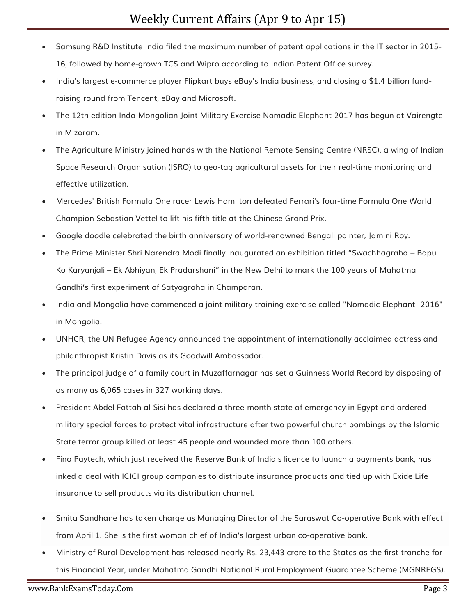- Samsung R&D Institute India filed the maximum number of patent applications in the IT sector in 2015- 16, followed by home-grown TCS and Wipro according to Indian Patent Office survey.
- India's largest e-commerce player Flipkart buys eBay's India business, and closing a \$1.4 billion fundraising round from Tencent, eBay and Microsoft.
- The 12th edition Indo-Mongolian Joint Military Exercise Nomadic Elephant 2017 has begun at Vairengte in Mizoram.
- The Agriculture Ministry joined hands with the National Remote Sensing Centre (NRSC), a wing of Indian Space Research Organisation (ISRO) to geo-tag agricultural assets for their real-time monitoring and effective utilization.
- Mercedes' British Formula One racer Lewis Hamilton defeated Ferrari's four-time Formula One World Champion Sebastian Vettel to lift his fifth title at the Chinese Grand Prix.
- Google doodle celebrated the birth anniversary of world-renowned Bengali painter, Jamini Roy.
- The Prime Minister Shri Narendra Modi finally inaugurated an exhibition titled "Swachhagraha Bapu Ko Karyanjali – Ek Abhiyan, Ek Pradarshani" in the New Delhi to mark the 100 years of Mahatma Gandhi's first experiment of Satyagraha in Champaran.
- India and Mongolia have commenced a joint military training exercise called "Nomadic Elephant -2016" in Mongolia.
- UNHCR, the UN Refugee Agency announced the appointment of internationally acclaimed actress and philanthropist Kristin Davis as its Goodwill Ambassador.
- The principal judge of a family court in Muzaffarnagar has set a Guinness World Record by disposing of as many as 6,065 cases in 327 working days.
- President Abdel Fattah al-Sisi has declared a three-month state of emergency in Egypt and ordered military special forces to protect vital infrastructure after two powerful church bombings by the Islamic State terror group killed at least 45 people and wounded more than 100 others.
- Fino Paytech, which just received the Reserve Bank of India's licence to launch a payments bank, has inked a deal with ICICI group companies to distribute insurance products and tied up with Exide Life insurance to sell products via its distribution channel.
- Smita Sandhane has taken charge as Managing Director of the Saraswat Co-operative Bank with effect from April 1. She is the first woman chief of India's largest urban co-operative bank.
- Ministry of Rural Development has released nearly Rs. 23,443 crore to the States as the first tranche for this Financial Year, under Mahatma Gandhi National Rural Employment Guarantee Scheme (MGNREGS).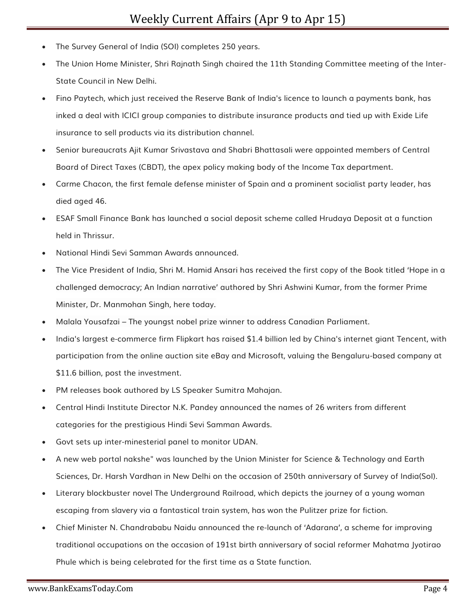- The Survey General of India (SOI) completes 250 years.
- The Union Home Minister, Shri Rajnath Singh chaired the 11th Standing Committee meeting of the Inter-State Council in New Delhi.
- Fino Paytech, which just received the Reserve Bank of India's licence to launch a payments bank, has inked a deal with ICICI group companies to distribute insurance products and tied up with Exide Life insurance to sell products via its distribution channel.
- Senior bureaucrats Ajit Kumar Srivastava and Shabri Bhattasali were appointed members of Central Board of Direct Taxes (CBDT), the apex policy making body of the Income Tax department.
- Carme Chacon, the first female defense minister of Spain and a prominent socialist party leader, has died aged 46.
- ESAF Small Finance Bank has launched a social deposit scheme called Hrudaya Deposit at a function held in Thrissur.
- National Hindi Sevi Samman Awards announced.
- The Vice President of India, Shri M. Hamid Ansari has received the first copy of the Book titled 'Hope in a challenged democracy; An Indian narrative' authored by Shri Ashwini Kumar, from the former Prime Minister, Dr. Manmohan Singh, here today.
- Malala Yousafzai The youngst nobel prize winner to address Canadian Parliament.
- India's largest e-commerce firm Flipkart has raised \$1.4 billion led by China's internet giant Tencent, with participation from the online auction site eBay and Microsoft, valuing the Bengaluru-based company at \$11.6 billion, post the investment.
- PM releases book authored by LS Speaker Sumitra Mahajan.
- Central Hindi Institute Director N.K. Pandey announced the names of 26 writers from different categories for the prestigious Hindi Sevi Samman Awards.
- Govt sets up inter-minesterial panel to monitor UDAN.
- A new web portal nakshe" was launched by the Union Minister for Science & Technology and Earth Sciences, Dr. Harsh Vardhan in New Delhi on the occasion of 250th anniversary of Survey of India(SoI).
- Literary blockbuster novel The Underground Railroad, which depicts the journey of a young woman escaping from slavery via a fantastical train system, has won the Pulitzer prize for fiction.
- Chief Minister N. Chandrababu Naidu announced the re-launch of 'Adarana', a scheme for improving traditional occupations on the occasion of 191st birth anniversary of social reformer Mahatma Jyotirao Phule which is being celebrated for the first time as a State function.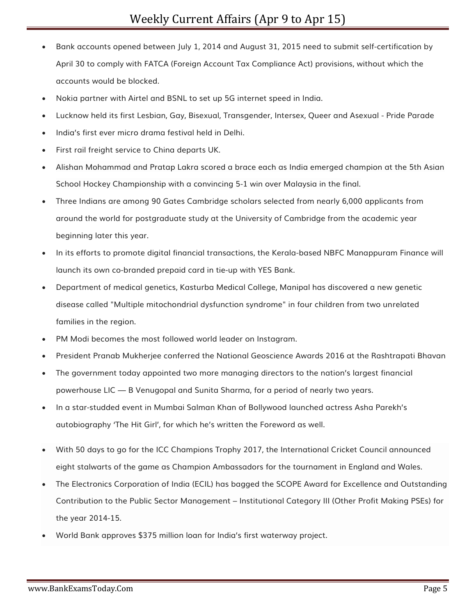- Bank accounts opened between July 1, 2014 and August 31, 2015 need to submit self-certification by April 30 to comply with FATCA (Foreign Account Tax Compliance Act) provisions, without which the accounts would be blocked.
- Nokia partner with Airtel and BSNL to set up 5G internet speed in India.
- Lucknow held its first Lesbian, Gay, Bisexual, Transgender, Intersex, Queer and Asexual Pride Parade
- India's first ever micro drama festival held in Delhi.
- First rail freight service to China departs UK.
- Alishan Mohammad and Pratap Lakra scored a brace each as India emerged champion at the 5th Asian School Hockey Championship with a convincing 5-1 win over Malaysia in the final.
- Three Indians are among 90 Gates Cambridge scholars selected from nearly 6,000 applicants from around the world for postgraduate study at the University of Cambridge from the academic year beginning later this year.
- In its efforts to promote digital financial transactions, the Kerala-based NBFC Manappuram Finance will launch its own co-branded prepaid card in tie-up with YES Bank.
- Department of medical genetics, Kasturba Medical College, Manipal has discovered a new genetic disease called "Multiple mitochondrial dysfunction syndrome" in four children from two unrelated families in the region.
- PM Modi becomes the most followed world leader on Instagram.
- President Pranab Mukherjee conferred the National Geoscience Awards 2016 at the Rashtrapati Bhavan
- The government today appointed two more managing directors to the nation's largest financial powerhouse LIC — B Venugopal and Sunita Sharma, for a period of nearly two years.
- In a star-studded event in Mumbai Salman Khan of Bollywood launched actress Asha Parekh's autobiography 'The Hit Girl', for which he's written the Foreword as well.
- With 50 days to go for the ICC Champions Trophy 2017, the International Cricket Council announced eight stalwarts of the game as Champion Ambassadors for the tournament in England and Wales.
- The Electronics Corporation of India (ECIL) has bagged the SCOPE Award for Excellence and Outstanding Contribution to the Public Sector Management – Institutional Category III (Other Profit Making PSEs) for the year 2014-15.
- World Bank approves \$375 million loan for India's first waterway project.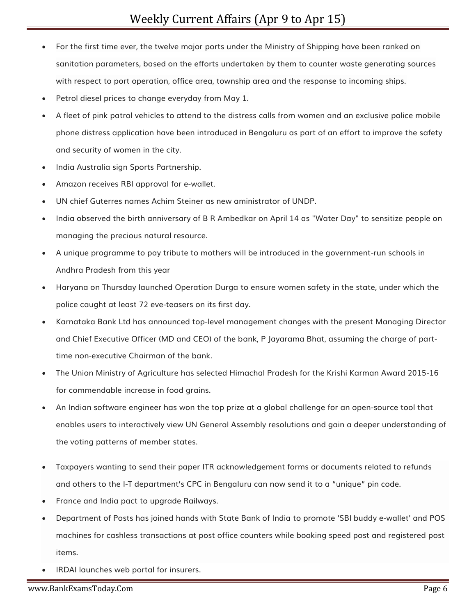- For the first time ever, the twelve major ports under the Ministry of Shipping have been ranked on sanitation parameters, based on the efforts undertaken by them to counter waste generating sources with respect to port operation, office area, township area and the response to incoming ships.
- Petrol diesel prices to change everyday from May 1.
- A fleet of pink patrol vehicles to attend to the distress calls from women and an exclusive police mobile phone distress application have been introduced in Bengaluru as part of an effort to improve the safety and security of women in the city.
- India Australia sign Sports Partnership.
- Amazon receives RBI approval for e-wallet.
- UN chief Guterres names Achim Steiner as new aministrator of UNDP.
- India observed the birth anniversary of B R Ambedkar on April 14 as "Water Day" to sensitize people on managing the precious natural resource.
- A unique programme to pay tribute to mothers will be introduced in the government-run schools in Andhra Pradesh from this year
- Haryana on Thursday launched Operation Durga to ensure women safety in the state, under which the police caught at least 72 eve-teasers on its first day.
- Karnataka Bank Ltd has announced top-level management changes with the present Managing Director and Chief Executive Officer (MD and CEO) of the bank, P Jayarama Bhat, assuming the charge of parttime non-executive Chairman of the bank.
- The Union Ministry of Agriculture has selected Himachal Pradesh for the Krishi Karman Award 2015-16 for commendable increase in food grains.
- An Indian software engineer has won the top prize at a global challenge for an open-source tool that enables users to interactively view UN General Assembly resolutions and gain a deeper understanding of the voting patterns of member states.
- Taxpayers wanting to send their paper ITR acknowledgement forms or documents related to refunds and others to the I-T department's CPC in Bengaluru can now send it to a "unique" pin code.
- France and India pact to upgrade Railways.
- Department of Posts has joined hands with State Bank of India to promote 'SBI buddy e-wallet' and POS machines for cashless transactions at post office counters while booking speed post and registered post items.
- IRDAI launches web portal for insurers.